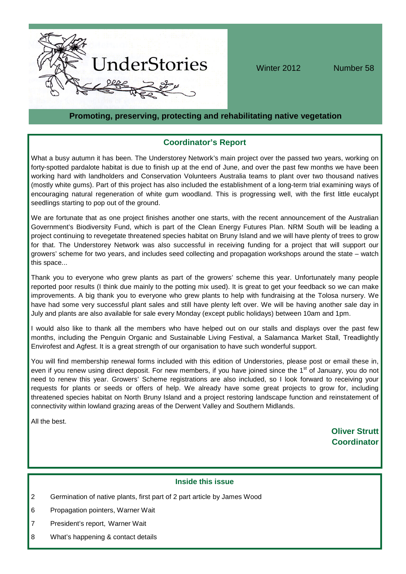

Winter 2012 Number 58

# **Promoting, preserving, protecting and rehabilitating native vegetation**

# **Coordinator's Report**

What a busy autumn it has been. The Understorey Network's main project over the passed two years, working on forty-spotted pardalote habitat is due to finish up at the end of June, and over the past few months we have been working hard with landholders and Conservation Volunteers Australia teams to plant over two thousand natives (mostly white gums). Part of this project has also included the establishment of a long-term trial examining ways of encouraging natural regeneration of white gum woodland. This is progressing well, with the first little eucalypt seedlings starting to pop out of the ground.

We are fortunate that as one project finishes another one starts, with the recent announcement of the Australian Government's Biodiversity Fund, which is part of the Clean Energy Futures Plan. NRM South will be leading a project continuing to revegetate threatened species habitat on Bruny Island and we will have plenty of trees to grow for that. The Understorey Network was also successful in receiving funding for a project that will support our growers' scheme for two years, and includes seed collecting and propagation workshops around the state – watch this space...

Thank you to everyone who grew plants as part of the growers' scheme this year. Unfortunately many people reported poor results (I think due mainly to the potting mix used). It is great to get your feedback so we can make improvements. A big thank you to everyone who grew plants to help with fundraising at the Tolosa nursery. We have had some very successful plant sales and still have plenty left over. We will be having another sale day in July and plants are also available for sale every Monday (except public holidays) between 10am and 1pm.

I would also like to thank all the members who have helped out on our stalls and displays over the past few months, including the Penguin Organic and Sustainable Living Festival, a Salamanca Market Stall, Treadlightly Envirofest and Agfest. It is a great strength of our organisation to have such wonderful support.

You will find membership renewal forms included with this edition of Understories, please post or email these in, even if you renew using direct deposit. For new members, if you have joined since the 1<sup>st</sup> of January, you do not need to renew this year. Growers' Scheme registrations are also included, so I look forward to receiving your requests for plants or seeds or offers of help. We already have some great projects to grow for, including threatened species habitat on North Bruny Island and a project restoring landscape function and reinstatement of connectivity within lowland grazing areas of the Derwent Valley and Southern Midlands.

All the best.

**Oliver Strutt Coordinator**

## **Inside this issue**

- 2 Germination of native plants, first part of 2 part article by James Wood
- 6 Propagation pointers, Warner Wait
- 7 President's report, Warner Wait
- 8 What's happening & contact details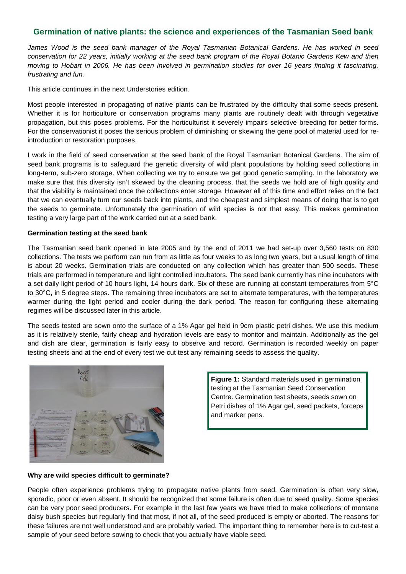# **Germination of native plants: the science and experiences of the Tasmanian Seed bank**

*James Wood is the seed bank manager of the Royal Tasmanian Botanical Gardens. He has worked in seed conservation for 22 years, initially working at the seed bank program of the Royal Botanic Gardens Kew and then moving to Hobart in 2006. He has been involved in germination studies for over 16 years finding it fascinating, frustrating and fun.*

This article continues in the next Understories edition*.*

Most people interested in propagating of native plants can be frustrated by the difficulty that some seeds present. Whether it is for horticulture or conservation programs many plants are routinely dealt with through vegetative propagation, but this poses problems. For the horticulturist it severely impairs selective breeding for better forms. For the conservationist it poses the serious problem of diminishing or skewing the gene pool of material used for reintroduction or restoration purposes.

I work in the field of seed conservation at the seed bank of the Royal Tasmanian Botanical Gardens. The aim of seed bank programs is to safeguard the genetic diversity of wild plant populations by holding seed collections in long-term, sub-zero storage. When collecting we try to ensure we get good genetic sampling. In the laboratory we make sure that this diversity isn't skewed by the cleaning process, that the seeds we hold are of high quality and that the viability is maintained once the collections enter storage. However all of this time and effort relies on the fact that we can eventually turn our seeds back into plants, and the cheapest and simplest means of doing that is to get the seeds to germinate. Unfortunately the germination of wild species is not that easy. This makes germination testing a very large part of the work carried out at a seed bank.

### **Germination testing at the seed bank**

The Tasmanian seed bank opened in late 2005 and by the end of 2011 we had set-up over 3,560 tests on 830 collections. The tests we perform can run from as little as four weeks to as long two years, but a usual length of time is about 20 weeks. Germination trials are conducted on any collection which has greater than 500 seeds. These trials are performed in temperature and light controlled incubators. The seed bank currently has nine incubators with a set daily light period of 10 hours light, 14 hours dark. Six of these are running at constant temperatures from 5°C to 30°C, in 5 degree steps. The remaining three incubators are set to alternate temperatures, with the temperatures warmer during the light period and cooler during the dark period. The reason for configuring these alternating regimes will be discussed later in this article.

The seeds tested are sown onto the surface of a 1% Agar gel held in 9cm plastic petri dishes. We use this medium as it is relatively sterile, fairly cheap and hydration levels are easy to monitor and maintain. Additionally as the gel and dish are clear, germination is fairly easy to observe and record. Germination is recorded weekly on paper testing sheets and at the end of every test we cut test any remaining seeds to assess the quality.



**Figure 1:** Standard materials used in germination testing at the Tasmanian Seed Conservation Centre. Germination test sheets, seeds sown on Petri dishes of 1% Agar gel, seed packets, forceps and marker pens.

## **Why are wild species difficult to germinate?**

People often experience problems trying to propagate native plants from seed. Germination is often very slow, sporadic, poor or even absent. It should be recognized that some failure is often due to seed quality. Some species can be very poor seed producers. For example in the last few years we have tried to make collections of montane daisy bush species but regularly find that most, if not all, of the seed produced is empty or aborted. The reasons for these failures are not well understood and are probably varied. The important thing to remember here is to cut-test a sample of your seed before sowing to check that you actually have viable seed.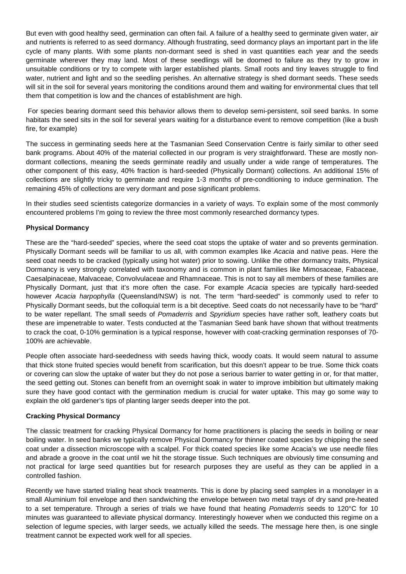But even with good healthy seed, germination can often fail. A failure of a healthy seed to germinate given water, air and nutrients is referred to as seed dormancy. Although frustrating, seed dormancy plays an important part in the life cycle of many plants. With some plants non-dormant seed is shed in vast quantities each year and the seeds germinate wherever they may land. Most of these seedlings will be doomed to failure as they try to grow in unsuitable conditions or try to compete with larger established plants. Small roots and tiny leaves struggle to find water, nutrient and light and so the seedling perishes. An alternative strategy is shed dormant seeds. These seeds will sit in the soil for several years monitoring the conditions around them and waiting for environmental clues that tell them that competition is low and the chances of establishment are high.

For species bearing dormant seed this behavior allows them to develop semi-persistent, soil seed banks. In some habitats the seed sits in the soil for several years waiting for a disturbance event to remove competition (like a bush fire, for example)

The success in germinating seeds here at the Tasmanian Seed Conservation Centre is fairly similar to other seed bank programs. About 40% of the material collected in our program is very straightforward. These are mostly nondormant collections, meaning the seeds germinate readily and usually under a wide range of temperatures. The other component of this easy, 40% fraction is hard-seeded (Physically Dormant) collections. An additional 15% of collections are slightly tricky to germinate and require 1-3 months of pre-conditioning to induce germination. The remaining 45% of collections are very dormant and pose significant problems.

In their studies seed scientists categorize dormancies in a variety of ways. To explain some of the most commonly encountered problems I'm going to review the three most commonly researched dormancy types.

## **Physical Dormancy**

These are the "hard-seeded" species, where the seed coat stops the uptake of water and so prevents germination. Physically Dormant seeds will be familiar to us all, with common examples like *Acacia* and native peas. Here the seed coat needs to be cracked (typically using hot water) prior to sowing. Unlike the other dormancy traits, Physical Dormancy is very strongly correlated with taxonomy and is common in plant families like Mimosaceae, Fabaceae, Caesalpinaceae, Malvaceae, Convolvulaceae and Rhamnaceae. This is not to say all members of these families are Physically Dormant, just that it's more often the case. For example *Acacia* species are typically hard-seeded however *Acacia harpophylla* (Queensland/NSW) is not. The term "hard-seeded" is commonly used to refer to Physically Dormant seeds, but the colloquial term is a bit deceptive. Seed coats do not necessarily have to be "hard" to be water repellant. The small seeds of *Pomaderris* and *Spyridium* species have rather soft, leathery coats but these are impenetrable to water. Tests conducted at the Tasmanian Seed bank have shown that without treatments to crack the coat, 0-10% germination is a typical response, however with coat-cracking germination responses of 70- 100% are achievable.

People often associate hard-seededness with seeds having thick, woody coats. It would seem natural to assume that thick stone fruited species would benefit from scarification, but this doesn't appear to be true. Some thick coats or covering can slow the uptake of water but they do not pose a serious barrier to water getting in or, for that matter, the seed getting out. Stones can benefit from an overnight soak in water to improve imbibition but ultimately making sure they have good contact with the germination medium is crucial for water uptake. This may go some way to explain the old gardener's tips of planting larger seeds deeper into the pot.

## **Cracking Physical Dormancy**

The classic treatment for cracking Physical Dormancy for home practitioners is placing the seeds in boiling or near boiling water. In seed banks we typically remove Physical Dormancy for thinner coated species by chipping the seed coat under a dissection microscope with a scalpel. For thick coated species like some Acacia's we use needle files and abrade a groove in the coat until we hit the storage tissue. Such techniques are obviously time consuming and not practical for large seed quantities but for research purposes they are useful as they can be applied in a controlled fashion.

Recently we have started trialing heat shock treatments. This is done by placing seed samples in a monolayer in a small Aluminium foil envelope and then sandwiching the envelope between two metal trays of dry sand pre-heated to a set temperature. Through a series of trials we have found that heating *Pomaderris* seeds to 120°C for 10 minutes was guaranteed to alleviate physical dormancy. Interestingly however when we conducted this regime on a selection of legume species, with larger seeds, we actually killed the seeds. The message here then, is one single treatment cannot be expected work well for all species.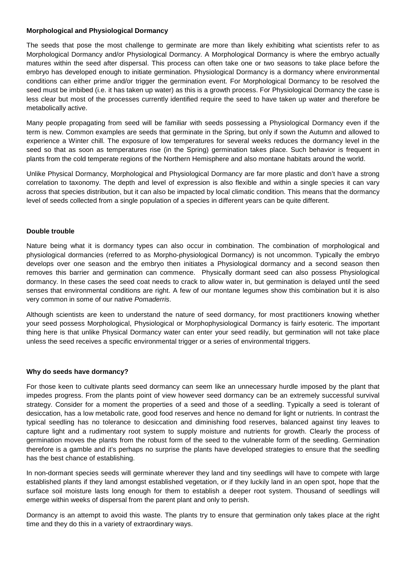## **Morphological and Physiological Dormancy**

The seeds that pose the most challenge to germinate are more than likely exhibiting what scientists refer to as Morphological Dormancy and/or Physiological Dormancy. A Morphological Dormancy is where the embryo actually matures within the seed after dispersal. This process can often take one or two seasons to take place before the embryo has developed enough to initiate germination. Physiological Dormancy is a dormancy where environmental conditions can either prime and/or trigger the germination event. For Morphological Dormancy to be resolved the seed must be imbibed (i.e. it has taken up water) as this is a growth process. For Physiological Dormancy the case is less clear but most of the processes currently identified require the seed to have taken up water and therefore be metabolically active.

Many people propagating from seed will be familiar with seeds possessing a Physiological Dormancy even if the term is new. Common examples are seeds that germinate in the Spring, but only if sown the Autumn and allowed to experience a Winter chill. The exposure of low temperatures for several weeks reduces the dormancy level in the seed so that as soon as temperatures rise (in the Spring) germination takes place. Such behavior is frequent in plants from the cold temperate regions of the Northern Hemisphere and also montane habitats around the world.

Unlike Physical Dormancy, Morphological and Physiological Dormancy are far more plastic and don't have a strong correlation to taxonomy. The depth and level of expression is also flexible and within a single species it can vary across that species distribution, but it can also be impacted by local climatic condition. This means that the dormancy level of seeds collected from a single population of a species in different years can be quite different.

## **Double trouble**

Nature being what it is dormancy types can also occur in combination. The combination of morphological and physiological dormancies (referred to as Morpho-physiological Dormancy) is not uncommon. Typically the embryo develops over one season and the embryo then initiates a Physiological dormancy and a second season then removes this barrier and germination can commence. Physically dormant seed can also possess Physiological dormancy. In these cases the seed coat needs to crack to allow water in, but germination is delayed until the seed senses that environmental conditions are right. A few of our montane legumes show this combination but it is also very common in some of our native *Pomaderris*.

Although scientists are keen to understand the nature of seed dormancy, for most practitioners knowing whether your seed possess Morphological, Physiological or Morphophysiological Dormancy is fairly esoteric. The important thing here is that unlike Physical Dormancy water can enter your seed readily, but germination will not take place unless the seed receives a specific environmental trigger or a series of environmental triggers.

## **Why do seeds have dormancy?**

For those keen to cultivate plants seed dormancy can seem like an unnecessary hurdle imposed by the plant that impedes progress. From the plants point of view however seed dormancy can be an extremely successful survival strategy. Consider for a moment the properties of a seed and those of a seedling. Typically a seed is tolerant of desiccation, has a low metabolic rate, good food reserves and hence no demand for light or nutrients. In contrast the typical seedling has no tolerance to desiccation and diminishing food reserves, balanced against tiny leaves to capture light and a rudimentary root system to supply moisture and nutrients for growth. Clearly the process of germination moves the plants from the robust form of the seed to the vulnerable form of the seedling. Germination therefore is a gamble and it's perhaps no surprise the plants have developed strategies to ensure that the seedling has the best chance of establishing.

In non-dormant species seeds will germinate wherever they land and tiny seedlings will have to compete with large established plants if they land amongst established vegetation, or if they luckily land in an open spot, hope that the surface soil moisture lasts long enough for them to establish a deeper root system. Thousand of seedlings will emerge within weeks of dispersal from the parent plant and only to perish.

Dormancy is an attempt to avoid this waste. The plants try to ensure that germination only takes place at the right time and they do this in a variety of extraordinary ways.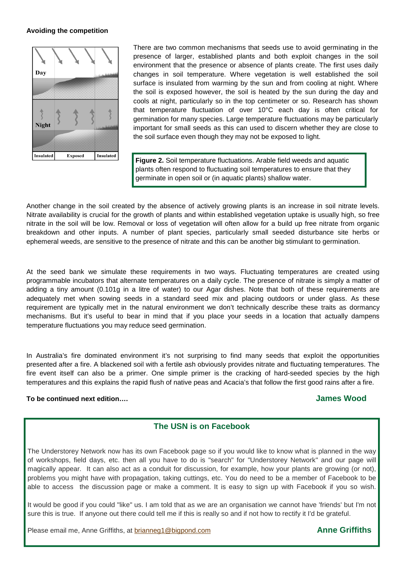## **Avoiding the competition**



There are two common mechanisms that seeds use to avoid germinating in the presence of larger, established plants and both exploit changes in the soil environment that the presence or absence of plants create. The first uses daily changes in soil temperature. Where vegetation is well established the soil surface is insulated from warming by the sun and from cooling at night. Where the soil is exposed however, the soil is heated by the sun during the day and cools at night, particularly so in the top centimeter or so. Research has shown that temperature fluctuation of over 10°C each day is often critical for germination for many species. Large temperature fluctuations may be particularly important for small seeds as this can used to discern whether they are close to the soil surface even though they may not be exposed to light.

**Figure 2.** Soil temperature fluctuations. Arable field weeds and aquatic plants often respond to fluctuating soil temperatures to ensure that they germinate in open soil or (in aquatic plants) shallow water.

Another change in the soil created by the absence of actively growing plants is an increase in soil nitrate levels. Nitrate availability is crucial for the growth of plants and within established vegetation uptake is usually high, so free nitrate in the soil will be low. Removal or loss of vegetation will often allow for a build up free nitrate from organic breakdown and other inputs. A number of plant species, particularly small seeded disturbance site herbs or ephemeral weeds, are sensitive to the presence of nitrate and this can be another big stimulant to germination.

At the seed bank we simulate these requirements in two ways. Fluctuating temperatures are created using programmable incubators that alternate temperatures on a daily cycle. The presence of nitrate is simply a matter of adding a tiny amount (0.101g in a litre of water) to our Agar dishes. Note that both of these requirements are adequately met when sowing seeds in a standard seed mix and placing outdoors or under glass. As these requirement are typically met in the natural environment we don't technically describe these traits as dormancy mechanisms. But it's useful to bear in mind that if you place your seeds in a location that actually dampens temperature fluctuations you may reduce seed germination.

In Australia's fire dominated environment it's not surprising to find many seeds that exploit the opportunities presented after a fire. A blackened soil with a fertile ash obviously provides nitrate and fluctuating temperatures. The fire event itself can also be a primer. One simple primer is the cracking of hard-seeded species by the high temperatures and this explains the rapid flush of native peas and Acacia's that follow the first good rains after a fire.

## **To be continued next edition…. James Wood**

# **The USN is on Facebook**

The Understorey Network now has its own Facebook page so if you would like to know what is planned in the way of workshops, field days, etc. then all you have to do is "search" for "Understorey Network" and our page will magically appear. It can also act as a conduit for discussion, for example, how your plants are growing (or not), problems you might have with propagation, taking cuttings, etc. You do need to be a member of Facebook to be able to access the discussion page or make a comment. It is easy to sign up with Facebook if you so wish.

It would be good if you could "like" us. I am told that as we are an organisation we cannot have 'friends' but I'm not sure this is true. If anyone out there could tell me if this is really so and if not how to rectify it I'd be grateful.

Please email me, Anne Griffiths, at **brianneg1@bigpond.com Anne Griffiths**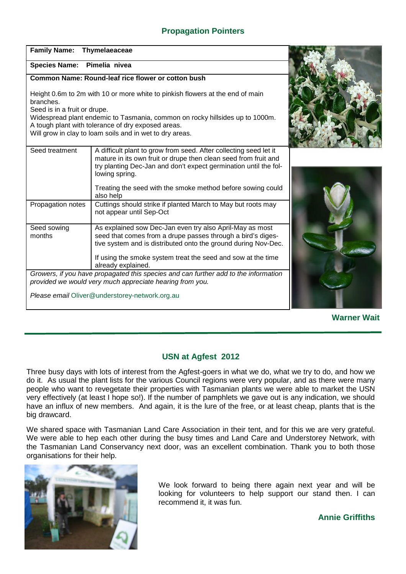# **Propagation Pointers**

| <b>Family Name:</b>                                                                                                                                                                            | Thymelaeaceae                                                                                                                                                                                                              |  |
|------------------------------------------------------------------------------------------------------------------------------------------------------------------------------------------------|----------------------------------------------------------------------------------------------------------------------------------------------------------------------------------------------------------------------------|--|
| Species Name: Pimelia nivea                                                                                                                                                                    |                                                                                                                                                                                                                            |  |
| Common Name: Round-leaf rice flower or cotton bush                                                                                                                                             |                                                                                                                                                                                                                            |  |
| Height 0.6m to 2m with 10 or more white to pinkish flowers at the end of main<br>branches.<br>Seed is in a fruit or drupe.                                                                     |                                                                                                                                                                                                                            |  |
| Widespread plant endemic to Tasmania, common on rocky hillsides up to 1000m.<br>A tough plant with tolerance of dry exposed areas.<br>Will grow in clay to loam soils and in wet to dry areas. |                                                                                                                                                                                                                            |  |
| Seed treatment                                                                                                                                                                                 | A difficult plant to grow from seed. After collecting seed let it<br>mature in its own fruit or drupe then clean seed from fruit and<br>try planting Dec-Jan and don't expect germination until the fol-<br>lowing spring. |  |
|                                                                                                                                                                                                | Treating the seed with the smoke method before sowing could<br>also help                                                                                                                                                   |  |
| Propagation notes                                                                                                                                                                              | Cuttings should strike if planted March to May but roots may<br>not appear until Sep-Oct                                                                                                                                   |  |
| Seed sowing<br>months                                                                                                                                                                          | As explained sow Dec-Jan even try also April-May as most<br>seed that comes from a drupe passes through a bird's diges-<br>tive system and is distributed onto the ground during Nov-Dec.                                  |  |
|                                                                                                                                                                                                | If using the smoke system treat the seed and sow at the time<br>already explained.                                                                                                                                         |  |
| Growers, if you have propagated this species and can further add to the information<br>provided we would very much appreciate hearing from you.                                                |                                                                                                                                                                                                                            |  |
| Please email Oliver@understorey-network.org.au                                                                                                                                                 |                                                                                                                                                                                                                            |  |

**Warner Wait**

# **USN at Agfest 2012**

Three busy days with lots of interest from the Agfest-goers in what we do, what we try to do, and how we do it. As usual the plant lists for the various Council regions were very popular, and as there were many people who want to revegetate their properties with Tasmanian plants we were able to market the USN very effectively (at least I hope so!). If the number of pamphlets we gave out is any indication, we should have an influx of new members. And again, it is the lure of the free, or at least cheap, plants that is the big drawcard.

We shared space with Tasmanian Land Care Association in their tent, and for this we are very grateful. We were able to hep each other during the busy times and Land Care and Understorey Network, with the Tasmanian Land Conservancy next door, was an excellent combination. Thank you to both those organisations for their help.



We look forward to being there again next year and will be looking for volunteers to help support our stand then. I can recommend it, it was fun.

**Annie Griffiths**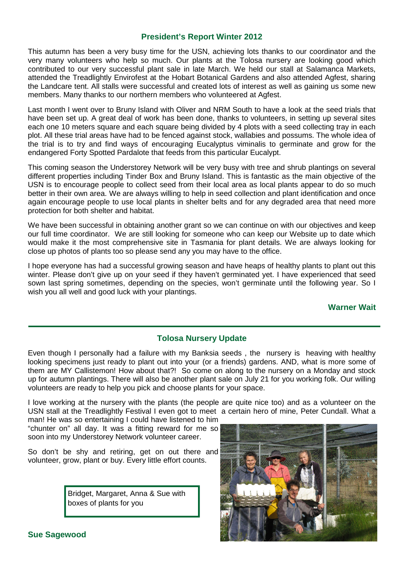## **President's Report Winter 2012**

This autumn has been a very busy time for the USN, achieving lots thanks to our coordinator and the very many volunteers who help so much. Our plants at the Tolosa nursery are looking good which contributed to our very successful plant sale in late March. We held our stall at Salamanca Markets, attended the Treadlightly Envirofest at the Hobart Botanical Gardens and also attended Agfest, sharing the Landcare tent. All stalls were successful and created lots of interest as well as gaining us some new members. Many thanks to our northern members who volunteered at Agfest.

Last month I went over to Bruny Island with Oliver and NRM South to have a look at the seed trials that have been set up. A great deal of work has been done, thanks to volunteers, in setting up several sites each one 10 meters square and each square being divided by 4 plots with a seed collecting tray in each plot. All these trial areas have had to be fenced against stock, wallabies and possums. The whole idea of the trial is to try and find ways of encouraging Eucalyptus viminalis to germinate and grow for the endangered Forty Spotted Pardalote that feeds from this particular Eucalypt.

This coming season the Understorey Network will be very busy with tree and shrub plantings on several different properties including Tinder Box and Bruny Island. This is fantastic as the main objective of the USN is to encourage people to collect seed from their local area as local plants appear to do so much better in their own area. We are always willing to help in seed collection and plant identification and once again encourage people to use local plants in shelter belts and for any degraded area that need more protection for both shelter and habitat.

We have been successful in obtaining another grant so we can continue on with our objectives and keep our full time coordinator. We are still looking for someone who can keep our Website up to date which would make it the most comprehensive site in Tasmania for plant details. We are always looking for close up photos of plants too so please send any you may have to the office.

I hope everyone has had a successful growing season and have heaps of healthy plants to plant out this winter. Please don't give up on your seed if they haven't germinated yet. I have experienced that seed sown last spring sometimes, depending on the species, won't germinate until the following year. So I wish you all well and good luck with your plantings.

## **Warner Wait**

# **Tolosa Nursery Update**

Even though I personally had a failure with my Banksia seeds , the nursery is heaving with healthy looking specimens just ready to plant out into your (or a friends) gardens. AND, what is more some of them are MY Callistemon! How about that?! So come on along to the nursery on a Monday and stock up for autumn plantings. There will also be another plant sale on July 21 for you working folk. Our willing volunteers are ready to help you pick and choose plants for your space.

I love working at the nursery with the plants (the people are quite nice too) and as a volunteer on the USN stall at the Treadlightly Festival I even got to meet a certain hero of mine, Peter Cundall. What a

man! He was so entertaining I could have listened to him "chunter on" all day. It was a fitting reward for me so soon into my Understorey Network volunteer career.

So don't be shy and retiring, get on out there and volunteer, grow, plant or buy. Every little effort counts.

> Bridget, Margaret, Anna & Sue with boxes of plants for you



**Sue Sagewood**